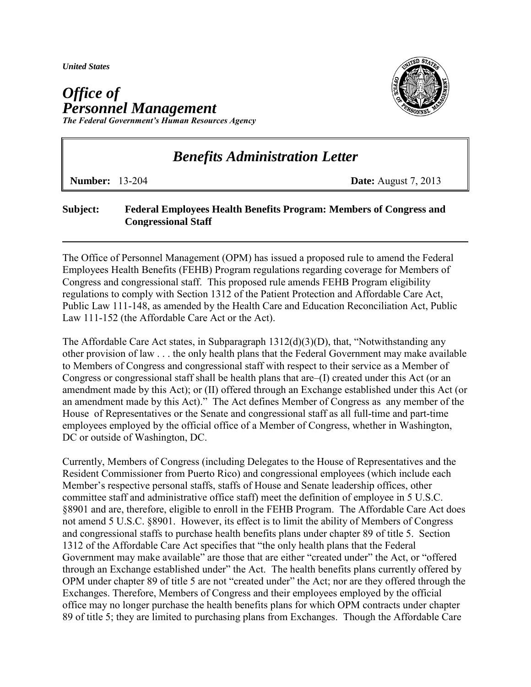*United States* 

## *Office of Personnel Management The Federal Government's Human Resources Agency*



## *Benefits Administration Letter*

**Number:** 13-204 **Date:** August 7, 2013

## **Subject: Federal Employees Health Benefits Program: Members of Congress and Congressional Staff**

The Office of Personnel Management (OPM) has issued a proposed rule to amend the Federal Employees Health Benefits (FEHB) Program regulations regarding coverage for Members of Congress and congressional staff. This proposed rule amends FEHB Program eligibility regulations to comply with Section 1312 of the Patient Protection and Affordable Care Act, Public Law 111-148, as amended by the Health Care and Education Reconciliation Act, Public Law 111-152 (the Affordable Care Act or the Act).

The Affordable Care Act states, in Subparagraph  $1312(d)(3)(D)$ , that, "Notwithstanding any other provision of law . . . the only health plans that the Federal Government may make available to Members of Congress and congressional staff with respect to their service as a Member of Congress or congressional staff shall be health plans that are–(I) created under this Act (or an amendment made by this Act); or (II) offered through an Exchange established under this Act (or an amendment made by this Act)." The Act defines Member of Congress as any member of the House of Representatives or the Senate and congressional staff as all full-time and part-time employees employed by the official office of a Member of Congress, whether in Washington, DC or outside of Washington, DC.

Currently, Members of Congress (including Delegates to the House of Representatives and the Resident Commissioner from Puerto Rico) and congressional employees (which include each Member's respective personal staffs, staffs of House and Senate leadership offices, other committee staff and administrative office staff) meet the definition of employee in 5 U.S.C. §8901 and are, therefore, eligible to enroll in the FEHB Program. The Affordable Care Act does not amend 5 U.S.C. §8901. However, its effect is to limit the ability of Members of Congress and congressional staffs to purchase health benefits plans under chapter 89 of title 5. Section 1312 of the Affordable Care Act specifies that "the only health plans that the Federal Government may make available" are those that are either "created under" the Act, or "offered through an Exchange established under" the Act. The health benefits plans currently offered by OPM under chapter 89 of title 5 are not "created under" the Act; nor are they offered through the Exchanges. Therefore, Members of Congress and their employees employed by the official office may no longer purchase the health benefits plans for which OPM contracts under chapter 89 of title 5; they are limited to purchasing plans from Exchanges. Though the Affordable Care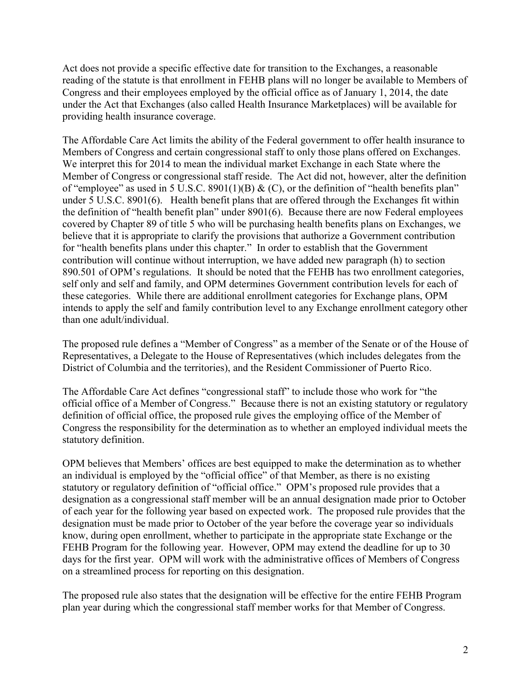Act does not provide a specific effective date for transition to the Exchanges, a reasonable reading of the statute is that enrollment in FEHB plans will no longer be available to Members of Congress and their employees employed by the official office as of January 1, 2014, the date under the Act that Exchanges (also called Health Insurance Marketplaces) will be available for providing health insurance coverage.

The Affordable Care Act limits the ability of the Federal government to offer health insurance to Members of Congress and certain congressional staff to only those plans offered on Exchanges. We interpret this for 2014 to mean the individual market Exchange in each State where the Member of Congress or congressional staff reside. The Act did not, however, alter the definition of "employee" as used in 5 U.S.C. 8901(1)(B)  $\&$  (C), or the definition of "health benefits plan" under 5 U.S.C. 8901(6). Health benefit plans that are offered through the Exchanges fit within the definition of "health benefit plan" under 8901(6). Because there are now Federal employees covered by Chapter 89 of title 5 who will be purchasing health benefits plans on Exchanges, we believe that it is appropriate to clarify the provisions that authorize a Government contribution for "health benefits plans under this chapter." In order to establish that the Government contribution will continue without interruption, we have added new paragraph (h) to section 890.501 of OPM's regulations. It should be noted that the FEHB has two enrollment categories, self only and self and family, and OPM determines Government contribution levels for each of these categories. While there are additional enrollment categories for Exchange plans, OPM intends to apply the self and family contribution level to any Exchange enrollment category other than one adult/individual.

The proposed rule defines a "Member of Congress" as a member of the Senate or of the House of Representatives, a Delegate to the House of Representatives (which includes delegates from the District of Columbia and the territories), and the Resident Commissioner of Puerto Rico.

The Affordable Care Act defines "congressional staff" to include those who work for "the official office of a Member of Congress." Because there is not an existing statutory or regulatory definition of official office, the proposed rule gives the employing office of the Member of Congress the responsibility for the determination as to whether an employed individual meets the statutory definition.

OPM believes that Members' offices are best equipped to make the determination as to whether an individual is employed by the "official office" of that Member, as there is no existing statutory or regulatory definition of "official office." OPM's proposed rule provides that a designation as a congressional staff member will be an annual designation made prior to October of each year for the following year based on expected work. The proposed rule provides that the designation must be made prior to October of the year before the coverage year so individuals know, during open enrollment, whether to participate in the appropriate state Exchange or the FEHB Program for the following year. However, OPM may extend the deadline for up to 30 days for the first year. OPM will work with the administrative offices of Members of Congress on a streamlined process for reporting on this designation.

The proposed rule also states that the designation will be effective for the entire FEHB Program plan year during which the congressional staff member works for that Member of Congress.